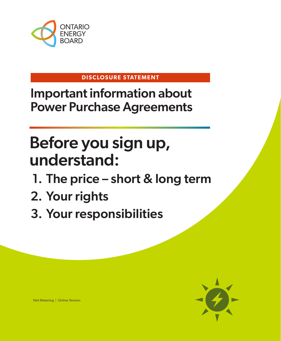

#### **DISCLOSURE STATEMENT**

Important information about Power Purchase Agreements

# Before you sign up, understand:

- 1. The price short & long term
- 2. Your rights
- 3. Your responsibilities



Net Metering | Online Version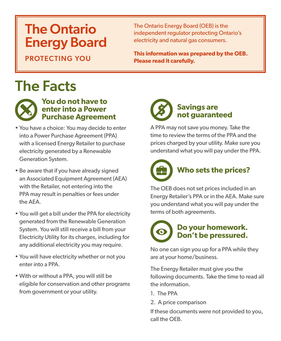# The Ontario Energy Board

PROTECTING YOU

The Ontario Energy Board (OEB) is the independent regulator protecting Ontario's electricity and natural gas consumers.

**This information was prepared by the OEB. Please read it carefully.** 

# The Facts



#### **You do not have to enter into a Power Purchase Agreement**

- You have a choice: You may decide to enter into a Power Purchase Agreement (PPA) with a licensed Energy Retailer to purchase electricity generated by a Renewable Generation System.
- Be aware that if you have already signed an Associated Equipment Agreement (AEA) with the Retailer, not entering into the PPA may result in penalties or fees under the AEA.
- You will get a bill under the PPA for electricity generated from the Renewable Generation System. You will still receive a bill from your Electricity Utility for its charges, including for any additional electricity you may require.
- You will have electricity whether or not you enter into a PPA.
- With or without a PPA, you will still be eligible for conservation and other programs from government or your utility.

# **Savings are not guaranteed**

A PPA may not save you money. Take the time to review the terms of the PPA and the prices charged by your utility. Make sure you understand what you will pay under the PPA.



The OEB does not set prices included in an Energy Retailer's PPA or in the AEA. Make sure you understand what you will pay under the terms of both agreements.

### **Do your homework. Don't be pressured.**

No one can sign you up for a PPA while they are at your home/business.

The Energy Retailer must give you the following documents. Take the time to read all the information.

1. The PPA

2. A price comparison

If these documents were not provided to you, call the OEB.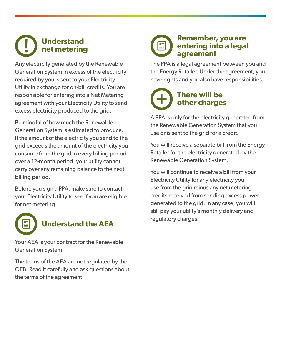#### **Understand net metering**

Any electricity generated by the Renewable Generation System in excess of the electricity required by you is sent to your Electricity Utility in exchange for on-bill credits. You are responsible for entering into a Net Metering agreement with your Electricity Utility to send excess electricity produced to the grid.

Be mindful of how much the Renewable Generation System is estimated to produce. If the amount of the electricity you send to the grid exceeds the amount of the electricity you consume from the grid in every billing period over a 12-month period, your utility cannot carry over any remaining balance to the next billing period.

Before you sign a PPA, make sure to contact your Electricity Utility to see if you are eligible for net metering.



### **Understand the AEA**

Your AEA is your contract for the Renewable Generation System.

The terms of the AEA are not regulated by the OEB. Read it carefully and ask questions about the terms of the agreement.

### **Remember, you are entering into a legal agreement**

The PPA is a legal agreement between you and the Energy Retailer. Under the agreement, you have rights and you also have responsibilities.

## **There will be other charges**

A PPA is only for the electricity generated from the Renewable Generation System that you use or is sent to the grid for a credit.

You will receive a separate bill from the Energy Retailer for the electricity generated by the Renewable Generation System.

You will continue to receive a bill from your Electricity Utility for any electricity you use from the grid minus any net metering credits received from sending excess power generated to the grid. In any case, you will still pay your utility's monthly delivery and regulatory charges.